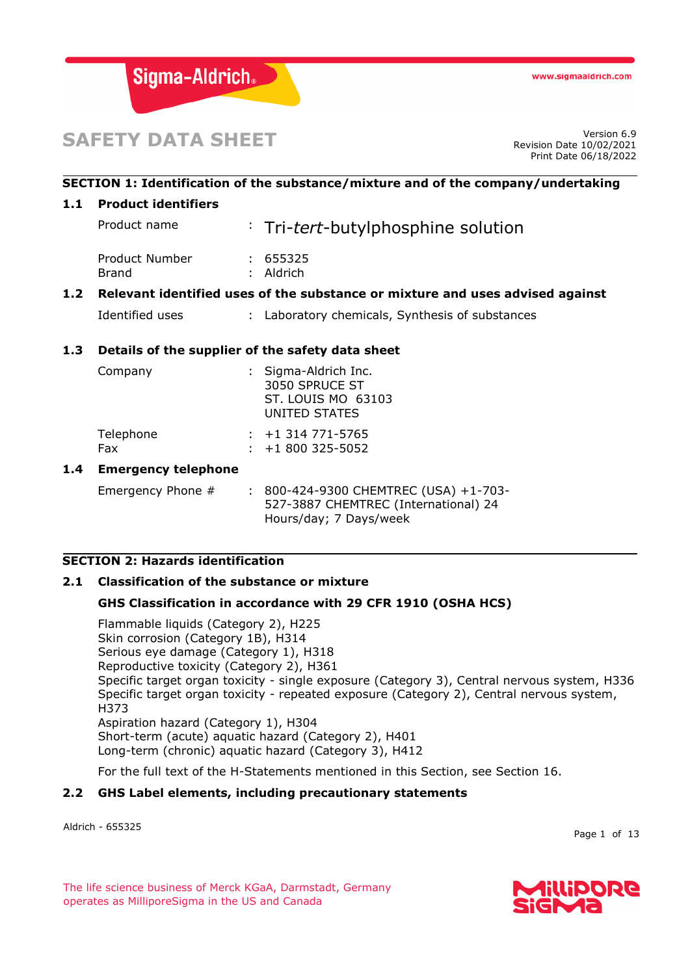

# **SAFETY DATA SHEET**

Revision Date 10/02/2021 Print Date 06/18/2022

# **SECTION 1: Identification of the substance/mixture and of the company/undertaking**

## **1.1 Product identifiers**

| 1.2 <sub>1</sub> |                         | Relevant identified uses of the substance or mixture and uses advised against |
|------------------|-------------------------|-------------------------------------------------------------------------------|
|                  | Product Number<br>Brand | : 655325<br>$:$ Aldrich                                                       |
|                  | Product name            | : Tri-tert-butylphosphine solution                                            |

Identified uses : Laboratory chemicals, Synthesis of substances

# **1.3 Details of the supplier of the safety data sheet**

| Company          | : Sigma-Aldrich Inc.<br>3050 SPRUCE ST<br>ST. LOUIS MO 63103<br>UNITED STATES |
|------------------|-------------------------------------------------------------------------------|
| Telephone<br>Fax | $: +1314771 - 5765$<br>$: +1800325 - 5052$                                    |

#### **1.4 Emergency telephone**

Emergency Phone # : 800-424-9300 CHEMTREC (USA) +1-703-527-3887 CHEMTREC (International) 24 Hours/day; 7 Days/week

# **SECTION 2: Hazards identification**

#### **2.1 Classification of the substance or mixture**

# **GHS Classification in accordance with 29 CFR 1910 (OSHA HCS)**

Flammable liquids (Category 2), H225 Skin corrosion (Category 1B), H314 Serious eye damage (Category 1), H318 Reproductive toxicity (Category 2), H361 Specific target organ toxicity - single exposure (Category 3), Central nervous system, H336 Specific target organ toxicity - repeated exposure (Category 2), Central nervous system, H373 Aspiration hazard (Category 1), H304 Short-term (acute) aquatic hazard (Category 2), H401 Long-term (chronic) aquatic hazard (Category 3), H412

For the full text of the H-Statements mentioned in this Section, see Section 16.

# **2.2 GHS Label elements, including precautionary statements**

Aldrich - 655325

Page 1 of 13

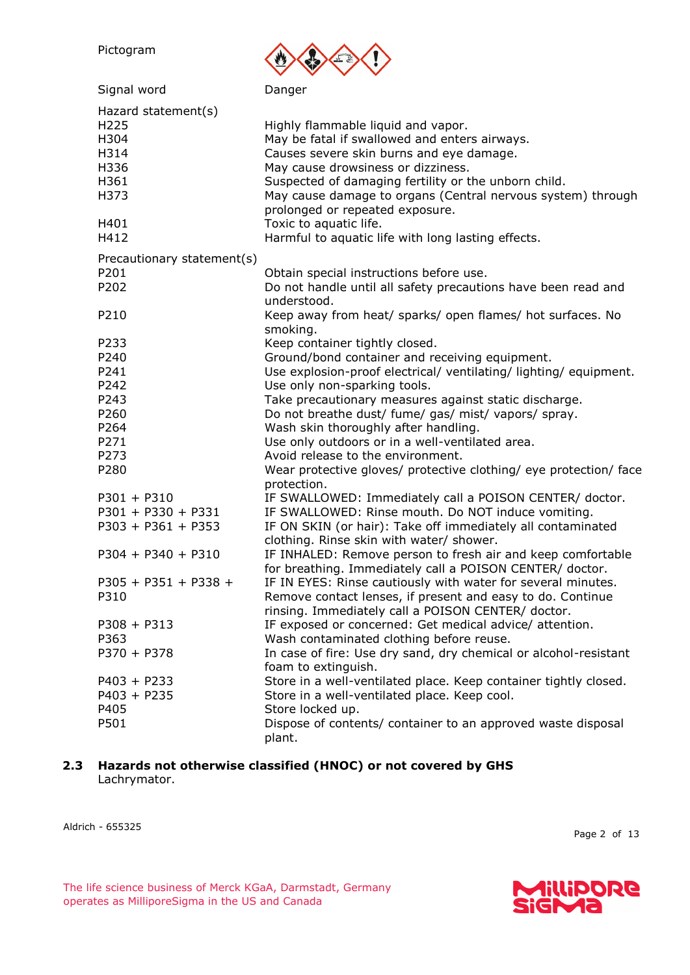| Pictogram                                                            |                                                                                                                                                                                                                                                                                                                                                                                                                                        |
|----------------------------------------------------------------------|----------------------------------------------------------------------------------------------------------------------------------------------------------------------------------------------------------------------------------------------------------------------------------------------------------------------------------------------------------------------------------------------------------------------------------------|
| Signal word                                                          | Danger                                                                                                                                                                                                                                                                                                                                                                                                                                 |
| Hazard statement(s)<br>H225<br>H304<br>H314<br>H336<br>H361<br>H373  | Highly flammable liquid and vapor.<br>May be fatal if swallowed and enters airways.<br>Causes severe skin burns and eye damage.<br>May cause drowsiness or dizziness.<br>Suspected of damaging fertility or the unborn child.<br>May cause damage to organs (Central nervous system) through<br>prolonged or repeated exposure.                                                                                                        |
| H401<br>H412                                                         | Toxic to aquatic life.<br>Harmful to aquatic life with long lasting effects.                                                                                                                                                                                                                                                                                                                                                           |
| Precautionary statement(s)<br>P201<br>P202                           | Obtain special instructions before use.<br>Do not handle until all safety precautions have been read and<br>understood.                                                                                                                                                                                                                                                                                                                |
| P210                                                                 | Keep away from heat/ sparks/ open flames/ hot surfaces. No<br>smoking.                                                                                                                                                                                                                                                                                                                                                                 |
| P233<br>P240<br>P241<br>P242<br>P243<br>P260<br>P264<br>P271<br>P273 | Keep container tightly closed.<br>Ground/bond container and receiving equipment.<br>Use explosion-proof electrical/ ventilating/ lighting/ equipment.<br>Use only non-sparking tools.<br>Take precautionary measures against static discharge.<br>Do not breathe dust/ fume/ gas/ mist/ vapors/ spray.<br>Wash skin thoroughly after handling.<br>Use only outdoors or in a well-ventilated area.<br>Avoid release to the environment. |
| P280                                                                 | Wear protective gloves/ protective clothing/ eye protection/ face<br>protection.                                                                                                                                                                                                                                                                                                                                                       |
| $P301 + P310$<br>$P301 + P330 + P331$<br>$P303 + P361 + P353$        | IF SWALLOWED: Immediately call a POISON CENTER/ doctor.<br>IF SWALLOWED: Rinse mouth. Do NOT induce vomiting.<br>IF ON SKIN (or hair): Take off immediately all contaminated<br>clothing. Rinse skin with water/ shower.                                                                                                                                                                                                               |
| $P304 + P340 + P310$                                                 | IF INHALED: Remove person to fresh air and keep comfortable<br>for breathing. Immediately call a POISON CENTER/ doctor.                                                                                                                                                                                                                                                                                                                |
| $P305 + P351 + P338 +$<br>P310                                       | IF IN EYES: Rinse cautiously with water for several minutes.<br>Remove contact lenses, if present and easy to do. Continue<br>rinsing. Immediately call a POISON CENTER/ doctor.                                                                                                                                                                                                                                                       |
| $P308 + P313$<br>P363<br>$P370 + P378$                               | IF exposed or concerned: Get medical advice/ attention.<br>Wash contaminated clothing before reuse.<br>In case of fire: Use dry sand, dry chemical or alcohol-resistant<br>foam to extinguish.                                                                                                                                                                                                                                         |
| $P403 + P233$<br>$P403 + P235$<br>P405<br>P501                       | Store in a well-ventilated place. Keep container tightly closed.<br>Store in a well-ventilated place. Keep cool.<br>Store locked up.<br>Dispose of contents/ container to an approved waste disposal<br>plant.                                                                                                                                                                                                                         |

# **2.3 Hazards not otherwise classified (HNOC) or not covered by GHS** Lachrymator.

Aldrich - 655325

Page 2 of 13

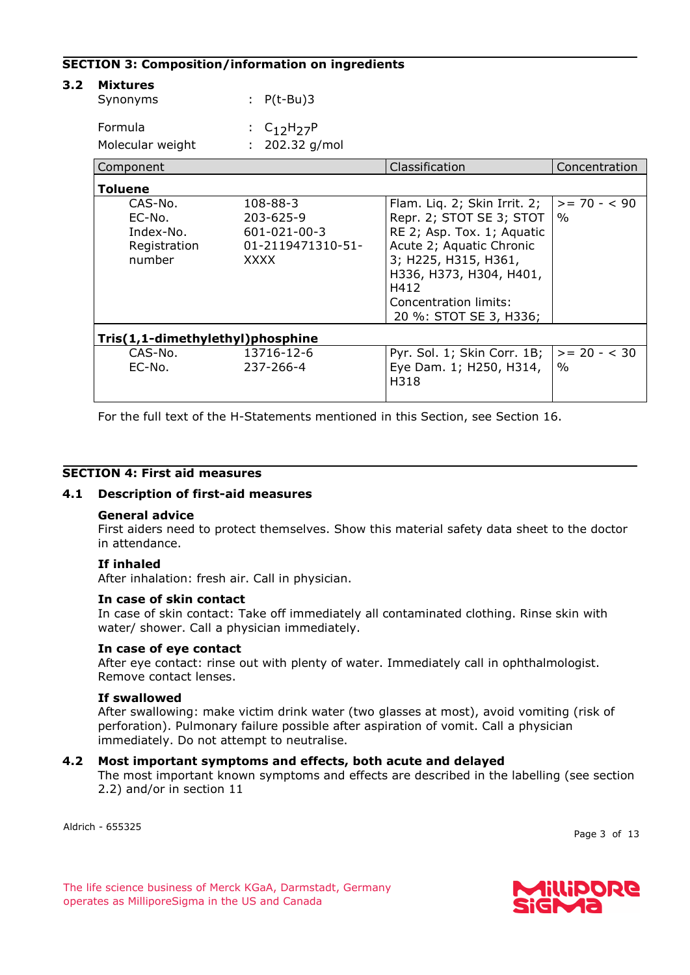#### **SECTION 3: Composition/information on ingredients**

| <b>Mixtures</b><br>Synonyms                              | : $P(t-Bu)3$                                                                    |                                                                                                                                                                                                                                  |                        |  |  |
|----------------------------------------------------------|---------------------------------------------------------------------------------|----------------------------------------------------------------------------------------------------------------------------------------------------------------------------------------------------------------------------------|------------------------|--|--|
| Formula<br>Molecular weight                              | : $C_{12}H_{27}P$<br>$: 202.32$ g/mol                                           |                                                                                                                                                                                                                                  |                        |  |  |
| Component                                                |                                                                                 | Classification                                                                                                                                                                                                                   | Concentration          |  |  |
| Toluene                                                  |                                                                                 |                                                                                                                                                                                                                                  |                        |  |  |
| CAS-No.<br>EC-No.<br>Index-No.<br>Registration<br>number | $108 - 88 - 3$<br>203-625-9<br>601-021-00-3<br>01-2119471310-51-<br><b>XXXX</b> | Flam. Lig. 2; Skin Irrit. 2;<br>Repr. 2; STOT SE 3; STOT<br>RE 2; Asp. Tox. 1; Aquatic<br>Acute 2; Aquatic Chronic<br>3; H225, H315, H361,<br>H336, H373, H304, H401,<br>H412<br>Concentration limits:<br>20 %: STOT SE 3, H336; | $>= 70 - 90$<br>$\%$   |  |  |
| Tris(1,1-dimethylethyl)phosphine                         |                                                                                 |                                                                                                                                                                                                                                  |                        |  |  |
| CAS-No.<br>EC-No.                                        | 13716-12-6<br>237-266-4                                                         | Pyr. Sol. 1; Skin Corr. 1B;<br>Eye Dam. 1; H250, H314,<br>H318                                                                                                                                                                   | $>= 20 - < 30$<br>$\%$ |  |  |

For the full text of the H-Statements mentioned in this Section, see Section 16.

#### **SECTION 4: First aid measures**

#### **4.1 Description of first-aid measures**

#### **General advice**

First aiders need to protect themselves. Show this material safety data sheet to the doctor in attendance.

#### **If inhaled**

After inhalation: fresh air. Call in physician.

#### **In case of skin contact**

In case of skin contact: Take off immediately all contaminated clothing. Rinse skin with water/ shower. Call a physician immediately.

#### **In case of eye contact**

After eye contact: rinse out with plenty of water. Immediately call in ophthalmologist. Remove contact lenses.

#### **If swallowed**

After swallowing: make victim drink water (two glasses at most), avoid vomiting (risk of perforation). Pulmonary failure possible after aspiration of vomit. Call a physician immediately. Do not attempt to neutralise.

#### **4.2 Most important symptoms and effects, both acute and delayed**

The most important known symptoms and effects are described in the labelling (see section 2.2) and/or in section 11

Aldrich - 655325

Page 3 of 13

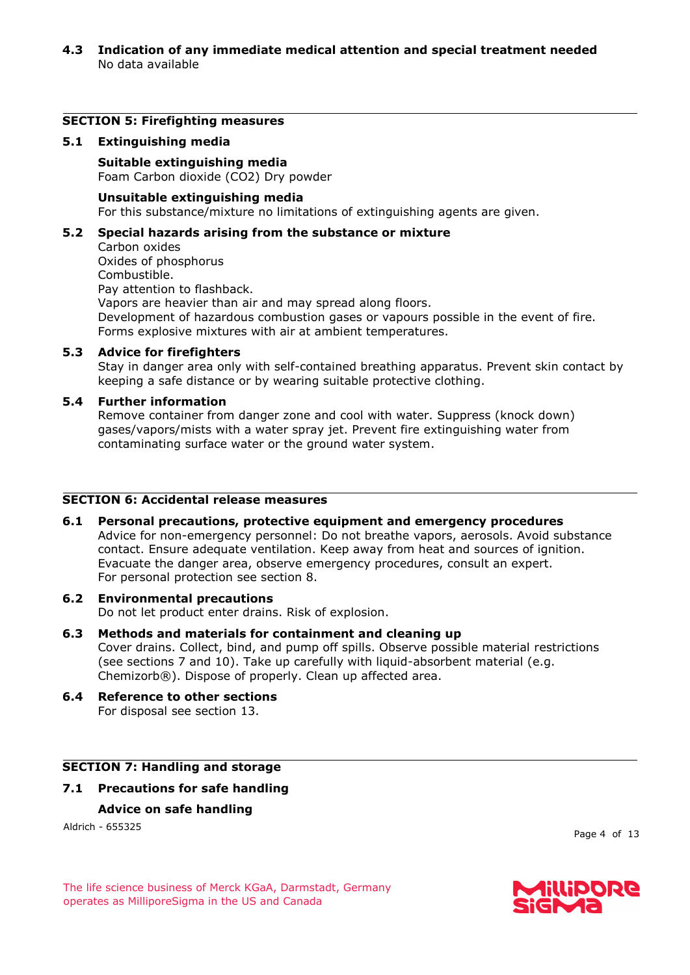#### **4.3 Indication of any immediate medical attention and special treatment needed** No data available

#### **SECTION 5: Firefighting measures**

#### **5.1 Extinguishing media**

**Suitable extinguishing media** Foam Carbon dioxide (CO2) Dry powder

#### **Unsuitable extinguishing media**

For this substance/mixture no limitations of extinguishing agents are given.

#### **5.2 Special hazards arising from the substance or mixture**

Carbon oxides Oxides of phosphorus Combustible. Pay attention to flashback. Vapors are heavier than air and may spread along floors. Development of hazardous combustion gases or vapours possible in the event of fire. Forms explosive mixtures with air at ambient temperatures.

#### **5.3 Advice for firefighters**

Stay in danger area only with self-contained breathing apparatus. Prevent skin contact by keeping a safe distance or by wearing suitable protective clothing.

#### **5.4 Further information**

Remove container from danger zone and cool with water. Suppress (knock down) gases/vapors/mists with a water spray jet. Prevent fire extinguishing water from contaminating surface water or the ground water system.

# **SECTION 6: Accidental release measures**

#### **6.1 Personal precautions, protective equipment and emergency procedures**

Advice for non-emergency personnel: Do not breathe vapors, aerosols. Avoid substance contact. Ensure adequate ventilation. Keep away from heat and sources of ignition. Evacuate the danger area, observe emergency procedures, consult an expert. For personal protection see section 8.

#### **6.2 Environmental precautions**

Do not let product enter drains. Risk of explosion.

- **6.3 Methods and materials for containment and cleaning up** Cover drains. Collect, bind, and pump off spills. Observe possible material restrictions (see sections 7 and 10). Take up carefully with liquid-absorbent material (e.g. Chemizorb®). Dispose of properly. Clean up affected area.
- **6.4 Reference to other sections** For disposal see section 13.

# **SECTION 7: Handling and storage**

# **7.1 Precautions for safe handling Advice on safe handling**

Aldrich - 655325

Page 4 of 13

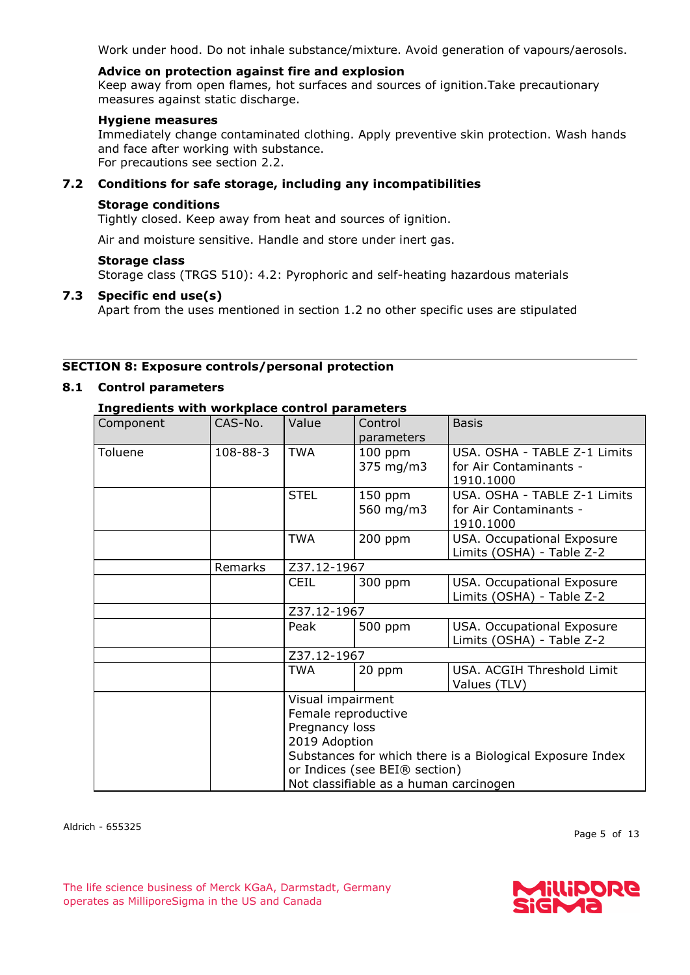Work under hood. Do not inhale substance/mixture. Avoid generation of vapours/aerosols.

#### **Advice on protection against fire and explosion**

Keep away from open flames, hot surfaces and sources of ignition.Take precautionary measures against static discharge.

#### **Hygiene measures**

Immediately change contaminated clothing. Apply preventive skin protection. Wash hands and face after working with substance. For precautions see section 2.2.

## **7.2 Conditions for safe storage, including any incompatibilities**

#### **Storage conditions**

Tightly closed. Keep away from heat and sources of ignition.

Air and moisture sensitive. Handle and store under inert gas.

#### **Storage class**

Storage class (TRGS 510): 4.2: Pyrophoric and self-heating hazardous materials

#### **7.3 Specific end use(s)**

Apart from the uses mentioned in section 1.2 no other specific uses are stipulated

#### **SECTION 8: Exposure controls/personal protection**

# **8.1 Control parameters**

# **Ingredients with workplace control parameters**

| Component | CAS-No.                                                                                                                                                | Value       | Control<br>parameters  | <b>Basis</b>                                                        |  |  |  |
|-----------|--------------------------------------------------------------------------------------------------------------------------------------------------------|-------------|------------------------|---------------------------------------------------------------------|--|--|--|
| Toluene   | 108-88-3                                                                                                                                               | <b>TWA</b>  | $100$ ppm<br>375 mg/m3 | USA. OSHA - TABLE Z-1 Limits<br>for Air Contaminants -<br>1910.1000 |  |  |  |
|           |                                                                                                                                                        | <b>STEL</b> | $150$ ppm<br>560 mg/m3 | USA. OSHA - TABLE Z-1 Limits<br>for Air Contaminants -<br>1910.1000 |  |  |  |
|           |                                                                                                                                                        | <b>TWA</b>  | $200$ ppm              | USA. Occupational Exposure<br>Limits (OSHA) - Table Z-2             |  |  |  |
|           | Remarks                                                                                                                                                | Z37.12-1967 |                        |                                                                     |  |  |  |
|           |                                                                                                                                                        | <b>CEIL</b> | 300 ppm                | USA. Occupational Exposure<br>Limits (OSHA) - Table Z-2             |  |  |  |
|           |                                                                                                                                                        |             | Z37.12-1967            |                                                                     |  |  |  |
|           |                                                                                                                                                        | Peak        | 500 ppm                | USA. Occupational Exposure<br>Limits (OSHA) - Table Z-2             |  |  |  |
|           |                                                                                                                                                        | Z37.12-1967 |                        |                                                                     |  |  |  |
|           |                                                                                                                                                        | TWA         | 20 ppm                 | USA. ACGIH Threshold Limit<br>Values (TLV)                          |  |  |  |
|           | Visual impairment<br>Female reproductive<br>Pregnancy loss<br>2019 Adoption<br>or Indices (see BEI® section)<br>Not classifiable as a human carcinogen |             |                        | Substances for which there is a Biological Exposure Index           |  |  |  |

Aldrich - 655325

Page 5 of 13

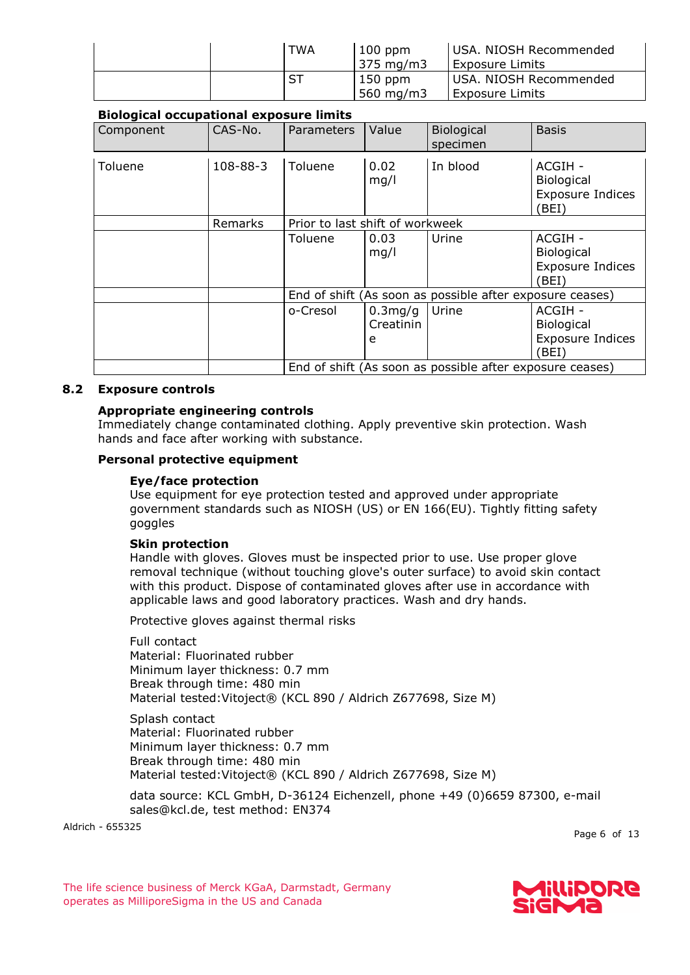| <b>TWA</b> | $100$ ppm<br>375 mg/m3 | USA. NIOSH Recommended<br><b>Exposure Limits</b> |
|------------|------------------------|--------------------------------------------------|
| ST         | $150$ ppm<br>560 mg/m3 | USA. NIOSH Recommended<br>Exposure Limits        |

# **Biological occupational exposure limits**

| Component | CAS-No.  | Parameters                                               | Value                     | <b>Biological</b><br>specimen                            | <b>Basis</b>                                                     |
|-----------|----------|----------------------------------------------------------|---------------------------|----------------------------------------------------------|------------------------------------------------------------------|
| Toluene   | 108-88-3 | Toluene                                                  | 0.02<br>mg/l              | In blood                                                 | ACGIH -<br><b>Biological</b><br><b>Exposure Indices</b><br>(BEI) |
|           | Remarks  | Prior to last shift of workweek                          |                           |                                                          |                                                                  |
|           |          | Toluene                                                  | 0.03<br>mg/l              | Urine                                                    | ACGIH -<br>Biological<br><b>Exposure Indices</b><br>BEI)         |
|           |          | End of shift (As soon as possible after exposure ceases) |                           |                                                          |                                                                  |
|           |          | o-Cresol                                                 | 0.3mg/g<br>Creatinin<br>e | Urine                                                    | ACGIH -<br><b>Biological</b><br><b>Exposure Indices</b><br>BEI)  |
|           |          |                                                          |                           | End of shift (As soon as possible after exposure ceases) |                                                                  |

#### **8.2 Exposure controls**

# **Appropriate engineering controls**

Immediately change contaminated clothing. Apply preventive skin protection. Wash hands and face after working with substance.

#### **Personal protective equipment**

#### **Eye/face protection**

Use equipment for eye protection tested and approved under appropriate government standards such as NIOSH (US) or EN 166(EU). Tightly fitting safety goggles

#### **Skin protection**

Handle with gloves. Gloves must be inspected prior to use. Use proper glove removal technique (without touching glove's outer surface) to avoid skin contact with this product. Dispose of contaminated gloves after use in accordance with applicable laws and good laboratory practices. Wash and dry hands.

Protective gloves against thermal risks

Full contact Material: Fluorinated rubber Minimum layer thickness: 0.7 mm Break through time: 480 min Material tested:Vitoject® (KCL 890 / Aldrich Z677698, Size M)

Splash contact Material: Fluorinated rubber Minimum layer thickness: 0.7 mm Break through time: 480 min Material tested:Vitoject® (KCL 890 / Aldrich Z677698, Size M)

data source: KCL GmbH, D-36124 Eichenzell, phone +49 (0)6659 87300, e-mail sales@kcl.de, test method: EN374

Aldrich - 655325

Page 6 of 13

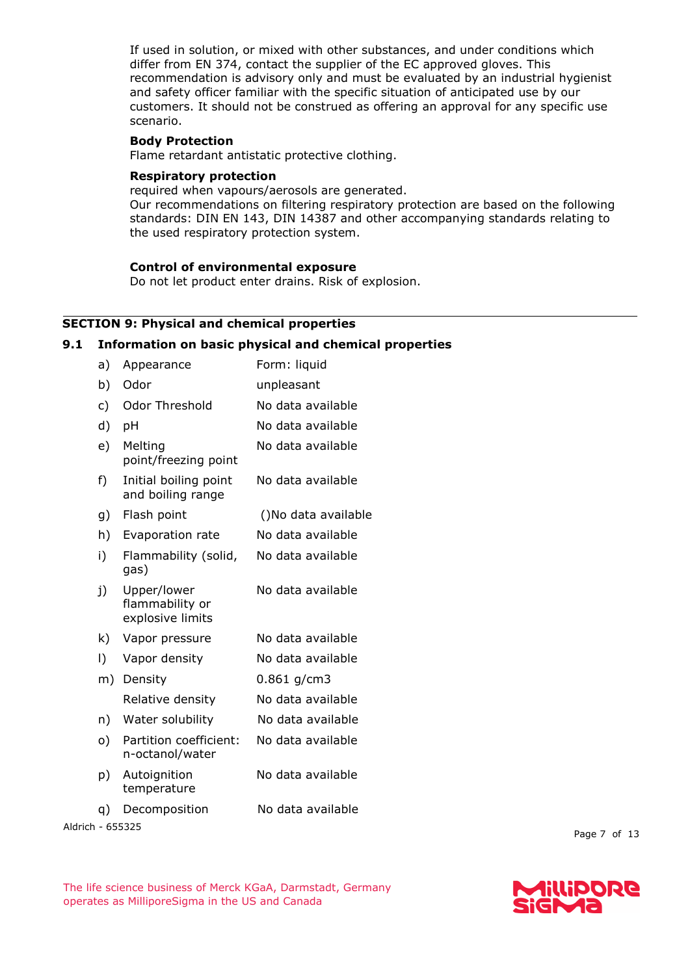If used in solution, or mixed with other substances, and under conditions which differ from EN 374, contact the supplier of the EC approved gloves. This recommendation is advisory only and must be evaluated by an industrial hygienist and safety officer familiar with the specific situation of anticipated use by our customers. It should not be construed as offering an approval for any specific use scenario.

#### **Body Protection**

Flame retardant antistatic protective clothing.

#### **Respiratory protection**

required when vapours/aerosols are generated. Our recommendations on filtering respiratory protection are based on the following standards: DIN EN 143, DIN 14387 and other accompanying standards relating to the used respiratory protection system.

#### **Control of environmental exposure**

Do not let product enter drains. Risk of explosion.

# **SECTION 9: Physical and chemical properties**

#### **9.1 Information on basic physical and chemical properties**

| a)        | Appearance                                         | Form: liquid        |
|-----------|----------------------------------------------------|---------------------|
| b)        | Odor                                               | unpleasant          |
| c)        | <b>Odor Threshold</b>                              | No data available   |
| d)        | pH                                                 | No data available   |
| e)        | Melting<br>point/freezing point                    | No data available   |
| f)        | Initial boiling point<br>and boiling range         | No data available   |
| g)        | Flash point                                        | ()No data available |
| h)        | Evaporation rate                                   | No data available   |
| i)        | Flammability (solid,<br>gas)                       | No data available   |
| j)        | Upper/lower<br>flammability or<br>explosive limits | No data available   |
| k)        | Vapor pressure                                     | No data available   |
| $\vert$ ) | Vapor density                                      | No data available   |
| m)        | Density                                            | $0.861$ g/cm3       |
|           | Relative density                                   | No data available   |
| n)        | Water solubility                                   | No data available   |
| o)        | Partition coefficient:<br>n-octanol/water          | No data available   |
| p)        | Autoignition<br>temperature                        | No data available   |
| q)        | Decomposition<br><b>EEEDDE</b>                     | No data available   |

Aldrich - 655325

Page 7 of 13

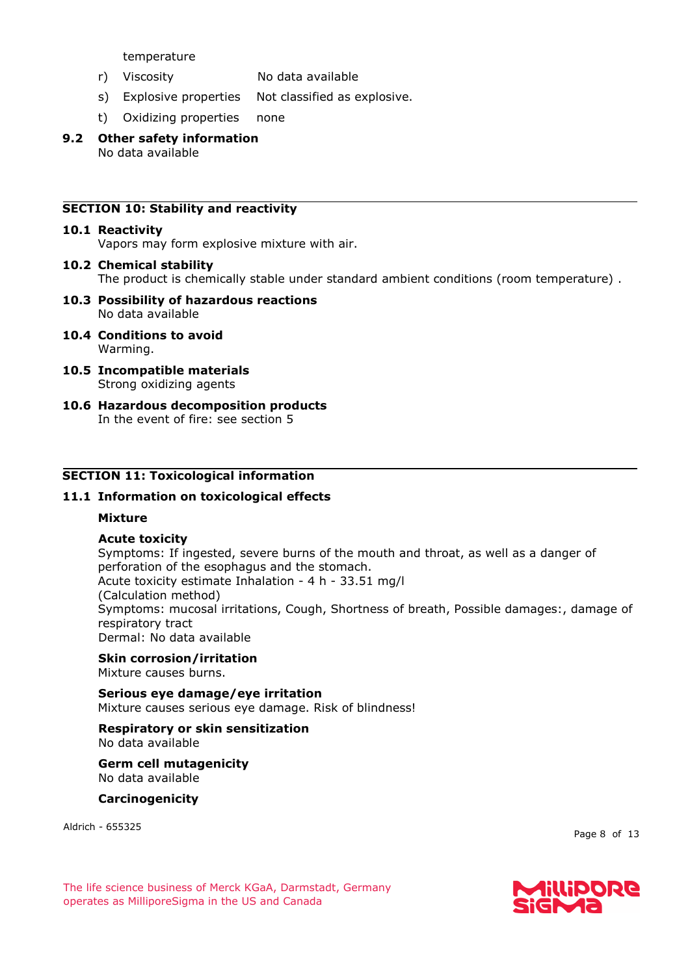temperature

- r) Viscosity No data available
- s) Explosive properties Not classified as explosive.
- t) Oxidizing properties none
- **9.2 Other safety information** No data available

## **SECTION 10: Stability and reactivity**

#### **10.1 Reactivity**

Vapors may form explosive mixture with air.

- **10.2 Chemical stability** The product is chemically stable under standard ambient conditions (room temperature) .
- **10.3 Possibility of hazardous reactions** No data available
- **10.4 Conditions to avoid** Warming.
- **10.5 Incompatible materials** Strong oxidizing agents
- **10.6 Hazardous decomposition products** In the event of fire: see section 5

#### **SECTION 11: Toxicological information**

#### **11.1 Information on toxicological effects**

#### **Mixture**

#### **Acute toxicity**

Symptoms: If ingested, severe burns of the mouth and throat, as well as a danger of perforation of the esophagus and the stomach. Acute toxicity estimate Inhalation - 4 h - 33.51 mg/l (Calculation method) Symptoms: mucosal irritations, Cough, Shortness of breath, Possible damages:, damage of respiratory tract Dermal: No data available

#### **Skin corrosion/irritation**

Mixture causes burns.

**Serious eye damage/eye irritation** Mixture causes serious eye damage. Risk of blindness!

#### **Respiratory or skin sensitization**

No data available

**Germ cell mutagenicity** No data available

**Carcinogenicity**

Aldrich - 655325

Page 8 of 13

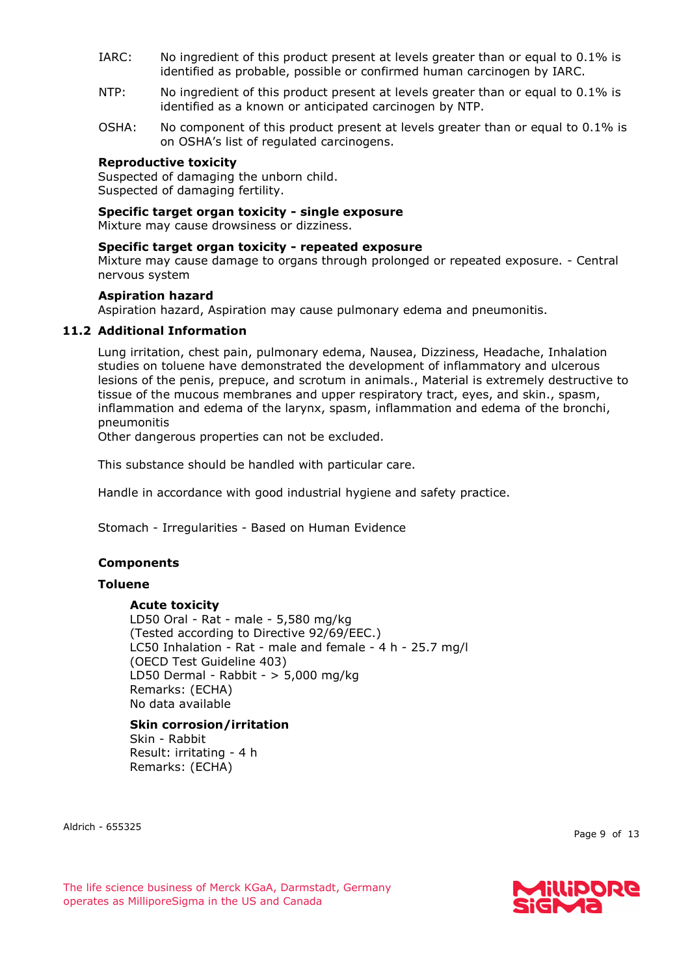- IARC: No ingredient of this product present at levels greater than or equal to 0.1% is identified as probable, possible or confirmed human carcinogen by IARC.
- NTP: No ingredient of this product present at levels greater than or equal to 0.1% is identified as a known or anticipated carcinogen by NTP.
- OSHA: No component of this product present at levels greater than or equal to 0.1% is on OSHA's list of regulated carcinogens.

#### **Reproductive toxicity**

Suspected of damaging the unborn child. Suspected of damaging fertility.

#### **Specific target organ toxicity - single exposure**

Mixture may cause drowsiness or dizziness.

#### **Specific target organ toxicity - repeated exposure**

Mixture may cause damage to organs through prolonged or repeated exposure. - Central nervous system

#### **Aspiration hazard**

Aspiration hazard, Aspiration may cause pulmonary edema and pneumonitis.

#### **11.2 Additional Information**

Lung irritation, chest pain, pulmonary edema, Nausea, Dizziness, Headache, Inhalation studies on toluene have demonstrated the development of inflammatory and ulcerous lesions of the penis, prepuce, and scrotum in animals., Material is extremely destructive to tissue of the mucous membranes and upper respiratory tract, eyes, and skin., spasm, inflammation and edema of the larynx, spasm, inflammation and edema of the bronchi, pneumonitis

Other dangerous properties can not be excluded.

This substance should be handled with particular care.

Handle in accordance with good industrial hygiene and safety practice.

Stomach - Irregularities - Based on Human Evidence

#### **Components**

#### **Toluene**

#### **Acute toxicity**

LD50 Oral - Rat - male - 5,580 mg/kg (Tested according to Directive 92/69/EEC.) LC50 Inhalation - Rat - male and female - 4 h - 25.7 mg/l (OECD Test Guideline 403) LD50 Dermal - Rabbit - > 5,000 mg/kg Remarks: (ECHA) No data available

#### **Skin corrosion/irritation** Skin - Rabbit Result: irritating - 4 h Remarks: (ECHA)

Aldrich - 655325

Page 9 of 13

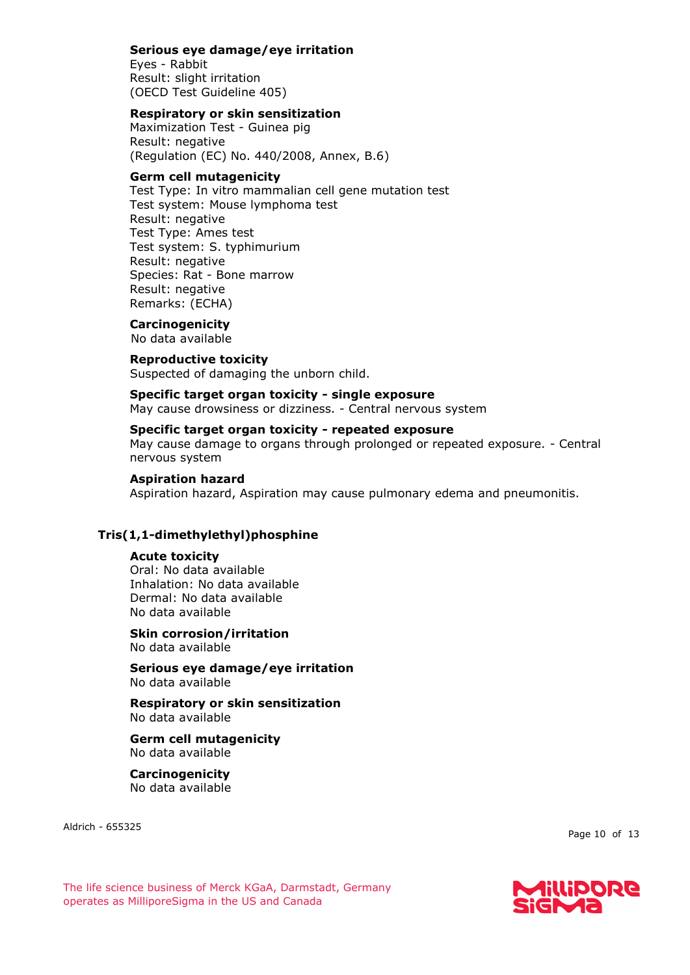#### **Serious eye damage/eye irritation**

Eyes - Rabbit Result: slight irritation (OECD Test Guideline 405)

#### **Respiratory or skin sensitization**

Maximization Test - Guinea pig Result: negative (Regulation (EC) No. 440/2008, Annex, B.6)

#### **Germ cell mutagenicity**

Test Type: In vitro mammalian cell gene mutation test Test system: Mouse lymphoma test Result: negative Test Type: Ames test Test system: S. typhimurium Result: negative Species: Rat - Bone marrow Result: negative Remarks: (ECHA)

# **Carcinogenicity**

No data available

#### **Reproductive toxicity**

Suspected of damaging the unborn child.

#### **Specific target organ toxicity - single exposure**

May cause drowsiness or dizziness. - Central nervous system

### **Specific target organ toxicity - repeated exposure**

May cause damage to organs through prolonged or repeated exposure. - Central nervous system

#### **Aspiration hazard**

Aspiration hazard, Aspiration may cause pulmonary edema and pneumonitis.

#### **Tris(1,1-dimethylethyl)phosphine**

#### **Acute toxicity**

Oral: No data available Inhalation: No data available Dermal: No data available No data available

# **Skin corrosion/irritation**

No data available

**Serious eye damage/eye irritation** No data available

**Respiratory or skin sensitization** No data available

#### **Germ cell mutagenicity** No data available

**Carcinogenicity** No data available

Aldrich - 655325

Page 10 of 13

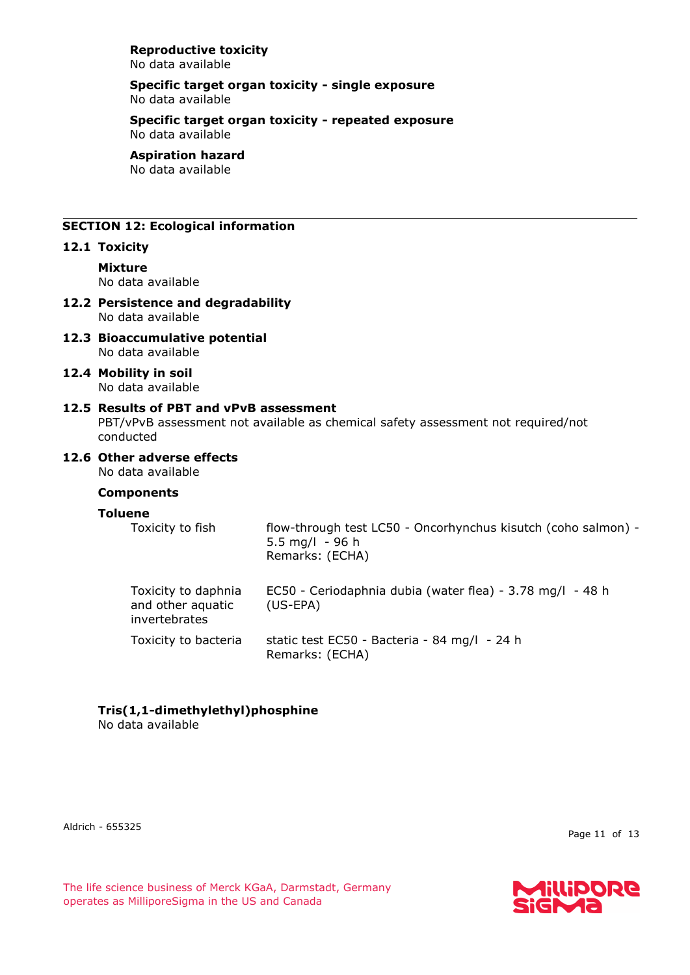#### **Reproductive toxicity** No data available

#### **Specific target organ toxicity - single exposure** No data available

#### **Specific target organ toxicity - repeated exposure** No data available

#### **Aspiration hazard**

No data available

# **SECTION 12: Ecological information**

# **12.1 Toxicity**

**Mixture** No data available

#### **12.2 Persistence and degradability** No data available

- **12.3 Bioaccumulative potential** No data available
- **12.4 Mobility in soil** No data available

#### **12.5 Results of PBT and vPvB assessment** PBT/vPvB assessment not available as chemical safety assessment not required/not conducted

# **12.6 Other adverse effects**

No data available

## **Components**

#### **Toluene**

| Toxicity to fish                                          | flow-through test LC50 - Oncorhynchus kisutch (coho salmon) -<br>5.5 mg/l $-96$ h<br>Remarks: (ECHA) |
|-----------------------------------------------------------|------------------------------------------------------------------------------------------------------|
| Toxicity to daphnia<br>and other aquatic<br>invertebrates | EC50 - Ceriodaphnia dubia (water flea) - 3.78 mg/l - 48 h<br>$(US-EPA)$                              |
| Toxicity to bacteria                                      | static test EC50 - Bacteria - 84 mg/l - 24 h<br>Remarks: (ECHA)                                      |

# **Tris(1,1-dimethylethyl)phosphine**

No data available

Aldrich - 655325

Page 11 of 13

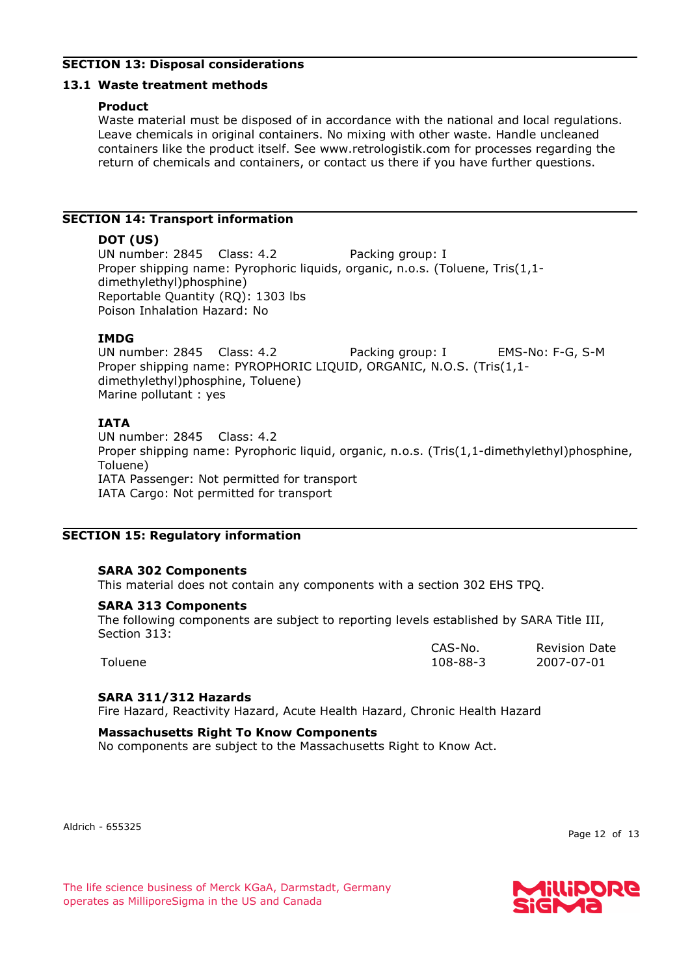# **SECTION 13: Disposal considerations**

#### **13.1 Waste treatment methods**

#### **Product**

Waste material must be disposed of in accordance with the national and local regulations. Leave chemicals in original containers. No mixing with other waste. Handle uncleaned containers like the product itself. See www.retrologistik.com for processes regarding the return of chemicals and containers, or contact us there if you have further questions.

# **SECTION 14: Transport information**

#### **DOT (US)**

UN number: 2845 Class: 4.2 Packing group: I Proper shipping name: Pyrophoric liquids, organic, n.o.s. (Toluene, Tris(1,1dimethylethyl)phosphine) Reportable Quantity (RQ): 1303 lbs Poison Inhalation Hazard: No

#### **IMDG**

UN number: 2845 Class: 4.2 Packing group: I EMS-No: F-G, S-M Proper shipping name: PYROPHORIC LIQUID, ORGANIC, N.O.S. (Tris(1,1 dimethylethyl)phosphine, Toluene) Marine pollutant : yes

#### **IATA**

UN number: 2845 Class: 4.2 Proper shipping name: Pyrophoric liquid, organic, n.o.s. (Tris(1,1-dimethylethyl)phosphine, Toluene) IATA Passenger: Not permitted for transport IATA Cargo: Not permitted for transport

#### **SECTION 15: Regulatory information**

#### **SARA 302 Components**

This material does not contain any components with a section 302 EHS TPQ.

#### **SARA 313 Components**

The following components are subject to reporting levels established by SARA Title III, Section 313:

|         | CAS-No.  | <b>Revision Date</b> |
|---------|----------|----------------------|
| Toluene | 108-88-3 | 2007-07-01           |

#### **SARA 311/312 Hazards**

Fire Hazard, Reactivity Hazard, Acute Health Hazard, Chronic Health Hazard

#### **Massachusetts Right To Know Components**

No components are subject to the Massachusetts Right to Know Act.

Aldrich - 655325

Page 12 of 13